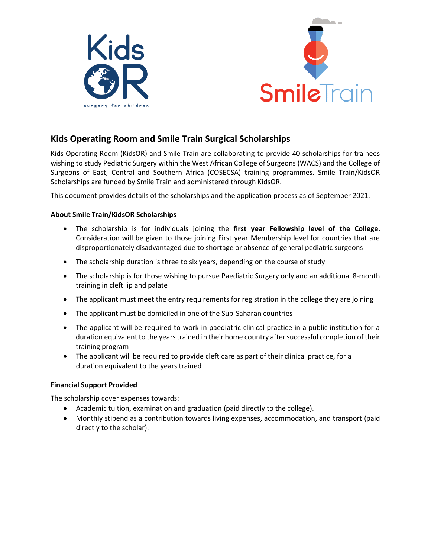



# **Kids Operating Room and Smile Train Surgical Scholarships**

Kids Operating Room (KidsOR) and Smile Train are collaborating to provide 40 scholarships for trainees wishing to study Pediatric Surgery within the West African College of Surgeons (WACS) and the College of Surgeons of East, Central and Southern Africa (COSECSA) training programmes. Smile Train/KidsOR Scholarships are funded by Smile Train and administered through KidsOR.

This document provides details of the scholarships and the application process as of September 2021.

## **About Smile Train/KidsOR Scholarships**

- The scholarship is for individuals joining the **first year Fellowship level of the College**. Consideration will be given to those joining First year Membership level for countries that are disproportionately disadvantaged due to shortage or absence of general pediatric surgeons
- The scholarship duration is three to six years, depending on the course of study
- The scholarship is for those wishing to pursue Paediatric Surgery only and an additional 8-month training in cleft lip and palate
- The applicant must meet the entry requirements for registration in the college they are joining
- The applicant must be domiciled in one of the Sub-Saharan countries
- The applicant will be required to work in paediatric clinical practice in a public institution for a duration equivalent to the years trained in their home country after successful completion of their training program
- The applicant will be required to provide cleft care as part of their clinical practice, for a duration equivalent to the years trained

#### **Financial Support Provided**

The scholarship cover expenses towards:

- Academic tuition, examination and graduation (paid directly to the college).
- Monthly stipend as a contribution towards living expenses, accommodation, and transport (paid directly to the scholar).